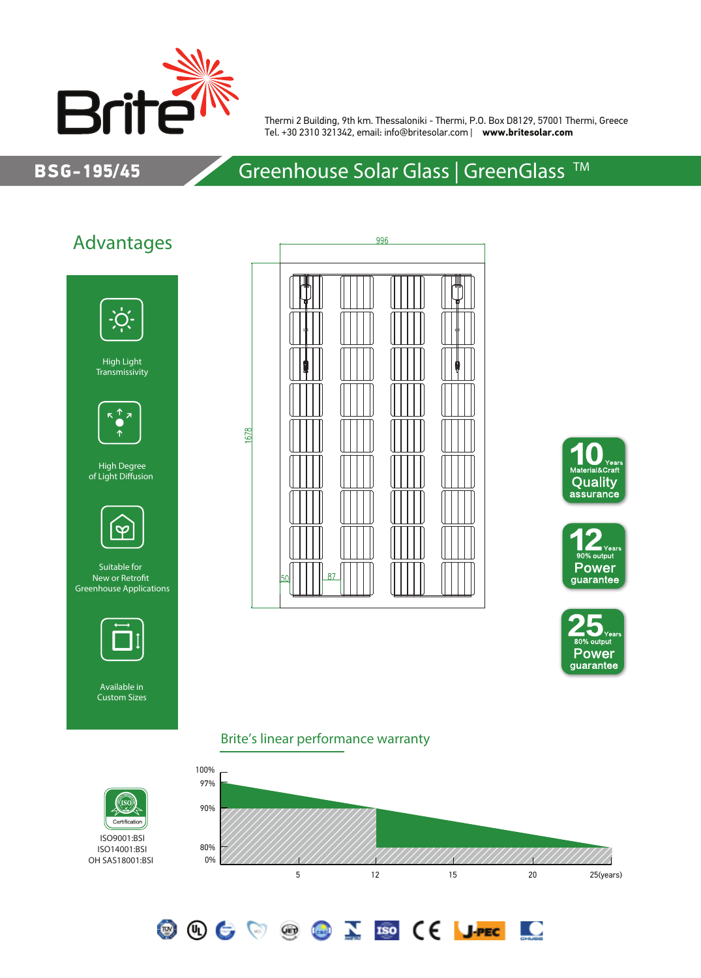

Thermi 2 Building, 9th km. Thessaloniki - Thermi, P.O. Box D8129, 57001 Thermi, Greece Tel. +30 2310 321342, email: info@britesolar.com | **www.britesolar.com**

### BSG-195/45

## Greenhouse Solar Glass | GreenGlass<sup>™</sup>

## Advantages



High Light Transmissivity



High Degree of Light Diffusion



Suitable for New or Retrofit Greenhouse Applications



Available in Custom Sizes









<u>io</u>

#### Brite's linear performance warranty

**OOCOOCOID (E JPEC** 





OH SAS18001:BSI